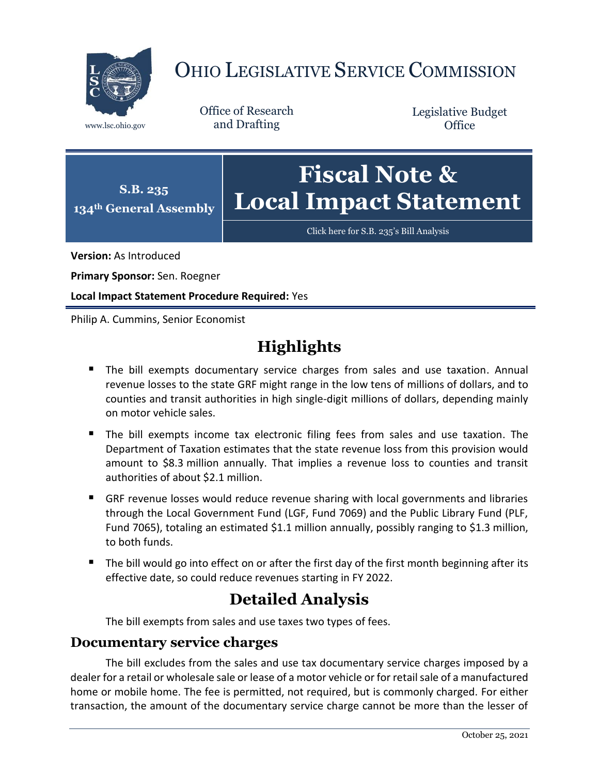

# OHIO LEGISLATIVE SERVICE COMMISSION

Office of Research www.lsc.ohio.gov and Drafting

Legislative Budget **Office** 



[Click here for S.B. 235](https://www.legislature.ohio.gov/legislation/legislation-documents?id=GA134-SB-235)'s Bill Analysis

**Version:** As Introduced

**Primary Sponsor:** Sen. Roegner

**Local Impact Statement Procedure Required:** Yes

Philip A. Cummins, Senior Economist

## **Highlights**

- **The bill exempts documentary service charges from sales and use taxation. Annual** revenue losses to the state GRF might range in the low tens of millions of dollars, and to counties and transit authorities in high single-digit millions of dollars, depending mainly on motor vehicle sales.
- The bill exempts income tax electronic filing fees from sales and use taxation. The Department of Taxation estimates that the state revenue loss from this provision would amount to \$8.3 million annually. That implies a revenue loss to counties and transit authorities of about \$2.1 million.
- GRF revenue losses would reduce revenue sharing with local governments and libraries through the Local Government Fund (LGF, Fund 7069) and the Public Library Fund (PLF, Fund 7065), totaling an estimated \$1.1 million annually, possibly ranging to \$1.3 million, to both funds.
- The bill would go into effect on or after the first day of the first month beginning after its effective date, so could reduce revenues starting in FY 2022.

### **Detailed Analysis**

The bill exempts from sales and use taxes two types of fees.

#### **Documentary service charges**

The bill excludes from the sales and use tax documentary service charges imposed by a dealer for a retail or wholesale sale or lease of a motor vehicle or for retail sale of a manufactured home or mobile home. The fee is permitted, not required, but is commonly charged. For either transaction, the amount of the documentary service charge cannot be more than the lesser of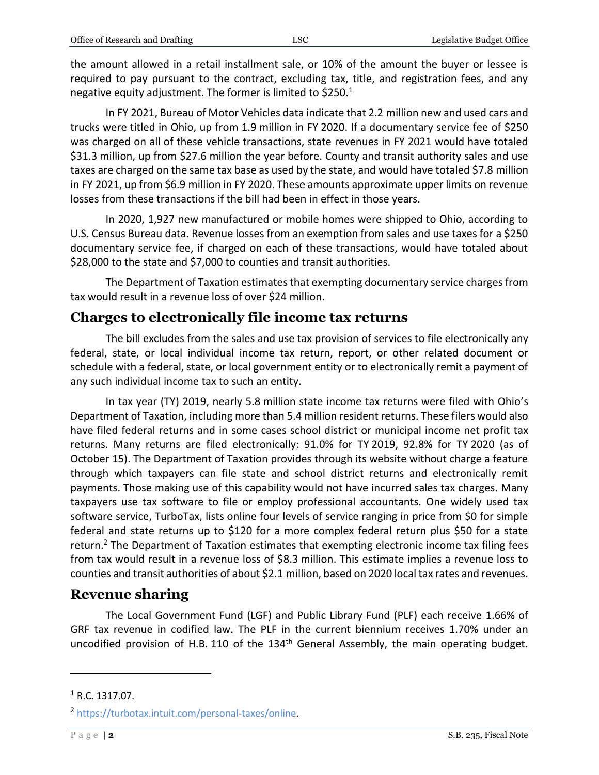the amount allowed in a retail installment sale, or 10% of the amount the buyer or lessee is required to pay pursuant to the contract, excluding tax, title, and registration fees, and any negative equity adjustment. The former is limited to  $$250.<sup>1</sup>$ 

In FY 2021, Bureau of Motor Vehicles data indicate that 2.2 million new and used cars and trucks were titled in Ohio, up from 1.9 million in FY 2020. If a documentary service fee of \$250 was charged on all of these vehicle transactions, state revenues in FY 2021 would have totaled \$31.3 million, up from \$27.6 million the year before. County and transit authority sales and use taxes are charged on the same tax base as used by the state, and would have totaled \$7.8 million in FY 2021, up from \$6.9 million in FY 2020. These amounts approximate upper limits on revenue losses from these transactions if the bill had been in effect in those years.

In 2020, 1,927 new manufactured or mobile homes were shipped to Ohio, according to U.S. Census Bureau data. Revenue losses from an exemption from sales and use taxes for a \$250 documentary service fee, if charged on each of these transactions, would have totaled about \$28,000 to the state and \$7,000 to counties and transit authorities.

The Department of Taxation estimates that exempting documentary service charges from tax would result in a revenue loss of over \$24 million.

#### **Charges to electronically file income tax returns**

The bill excludes from the sales and use tax provision of services to file electronically any federal, state, or local individual income tax return, report, or other related document or schedule with a federal, state, or local government entity or to electronically remit a payment of any such individual income tax to such an entity.

In tax year (TY) 2019, nearly 5.8 million state income tax returns were filed with Ohio's Department of Taxation, including more than 5.4 million resident returns. These filers would also have filed federal returns and in some cases school district or municipal income net profit tax returns. Many returns are filed electronically: 91.0% for TY 2019, 92.8% for TY 2020 (as of October 15). The Department of Taxation provides through its website without charge a feature through which taxpayers can file state and school district returns and electronically remit payments. Those making use of this capability would not have incurred sales tax charges. Many taxpayers use tax software to file or employ professional accountants. One widely used tax software service, TurboTax, lists online four levels of service ranging in price from \$0 for simple federal and state returns up to \$120 for a more complex federal return plus \$50 for a state return.<sup>2</sup> The Department of Taxation estimates that exempting electronic income tax filing fees from tax would result in a revenue loss of \$8.3 million. This estimate implies a revenue loss to counties and transit authorities of about \$2.1 million, based on 2020 local tax rates and revenues.

#### **Revenue sharing**

The Local Government Fund (LGF) and Public Library Fund (PLF) each receive 1.66% of GRF tax revenue in codified law. The PLF in the current biennium receives 1.70% under an uncodified provision of H.B. 110 of the 134<sup>th</sup> General Assembly, the main operating budget.

 $\overline{a}$ 

 $1$  R.C. 1317.07.

<sup>2</sup> [https://turbotax.intuit.com/personal-taxes/online.](https://turbotax.intuit.com/personal-taxes/online)